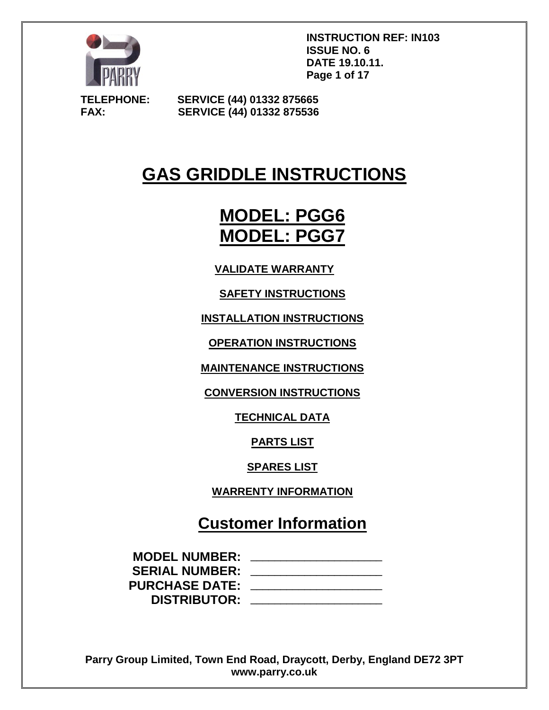

**INSTRUCTION REF: IN103 ISSUE NO. 6 DATE 19.10.11. Page 1 of 17**

**TELEPHONE: SERVICE (44) 01332 875665 FAX: SERVICE (44) 01332 875536**

# **GAS GRIDDLE INSTRUCTIONS**

# **MODEL: PGG6 MODEL: PGG7**

**VALIDATE WARRANTY**

**SAFETY INSTRUCTIONS**

**INSTALLATION INSTRUCTIONS**

**OPERATION INSTRUCTIONS**

**MAINTENANCE INSTRUCTIONS**

**CONVERSION INSTRUCTIONS**

**TECHNICAL DATA**

**PARTS LIST**

**SPARES LIST**

**WARRENTY INFORMATION**

**Customer Information**

| <b>MODEL NUMBER:</b>  |  |
|-----------------------|--|
| <b>SERIAL NUMBER:</b> |  |
| <b>PURCHASE DATE:</b> |  |
| <b>DISTRIBUTOR:</b>   |  |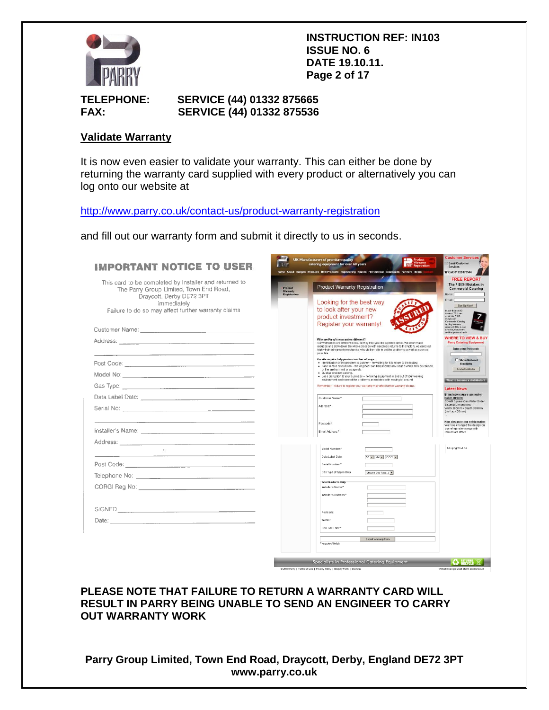

**INSTRUCTION REF: IN103 ISSUE NO. 6 DATE 19.10.11. Page 2 of 17**

## **TELEPHONE: SERVICE (44) 01332 875665 FAX: SERVICE (44) 01332 875536**

#### **Validate Warranty**

It is now even easier to validate your warranty. This can either be done by returning the warranty card supplied with every product or alternatively you can log onto our website at

<http://www.parry.co.uk/contact-us/product-warranty-registration>

and fill out our warranty form and submit it directly to us in seconds.

| <b>IMPORTANT NOTICE TO USER</b>                                                                                                                                                                                                                                                                                                                                                                                                                                                               | رسته<br>UK Manufacturers of premium quality<br><b>Warranty</b><br><b>PARRY</b><br>catering equipment for over 60 years<br>Home About Ranges Products New Products Engineering Spares PD Electrical Downloads Partners News                                                                                                                                                                                                                                                                                                                                    | <b>Justomer Service</b><br>Email Customer<br>Services<br>St Call: 01332 875544                                                                                                                                                                                                                                                                                                                                                 |
|-----------------------------------------------------------------------------------------------------------------------------------------------------------------------------------------------------------------------------------------------------------------------------------------------------------------------------------------------------------------------------------------------------------------------------------------------------------------------------------------------|---------------------------------------------------------------------------------------------------------------------------------------------------------------------------------------------------------------------------------------------------------------------------------------------------------------------------------------------------------------------------------------------------------------------------------------------------------------------------------------------------------------------------------------------------------------|--------------------------------------------------------------------------------------------------------------------------------------------------------------------------------------------------------------------------------------------------------------------------------------------------------------------------------------------------------------------------------------------------------------------------------|
| This card to be completed by Installer and returned to<br>The Parry Group Limited, Town End Road,<br>Draycott, Derby DE72 3PT<br>immediately<br>Failure to do so may affect further warranty claims<br>Customer Name: <u>Communication and Customer Name</u><br>Address: Note and the second contract of the second contract of the second contract of the second contract of the second contract of the second contract of the second contract of the second contract of the second contract | <b>Product Warranty Registration</b><br><b>Product</b><br>Warranty<br>Registration<br>Looking for the best way<br>to look after your new<br>product investment?<br>Register your warranty!<br>Why are Parry's warranties different?<br>Our warranties are different because they treat you like a professional. We don't make<br>excuses and slow down the whole process with needless returns to the factory, we send out<br>highly trained warranty mechanics who visit on-site to get the problems solved as soon as<br>possible.                          | <b>FREE REPORT</b><br>The 7 BIG Mistakes in<br><b>Commercial Catering</b><br>Name <sup>[</sup><br>Email<br>Sign Up Now!<br>In just the next 10<br>minutes YOU can<br>avoid the 7 BIG<br>mistakes in<br>Commercial Catering<br>conting business<br>pemers £1000s in lost<br>tumower, lost profits<br>and lost personal cash!<br><b>WHERE TO VIEW &amp; BUY</b><br><b>Parry Catering Equipment</b><br><b>Enter your Postcode</b> |
|                                                                                                                                                                                                                                                                                                                                                                                                                                                                                               | On-site repairs help you in a number of ways.<br>· Identification of the problem is quicker - no waiting for it to return to the factory.<br>. Face-to-face discussion - the engineer can help isolate any issues which may be caused<br>by the environment or usage etc.<br>· Quicker problem solving.<br>· Less disruption to your business - no taking equipment in and out of your working<br>environment and none of the problems associated with moving kit around.<br>Remember - failure to register your warranty may affect further warranty claims. | <b>F</b> Show National<br><b>Stockists</b><br>Find a Distributor<br>Want to become a distributor?                                                                                                                                                                                                                                                                                                                              |
|                                                                                                                                                                                                                                                                                                                                                                                                                                                                                               | Customer Name:*<br>Address*                                                                                                                                                                                                                                                                                                                                                                                                                                                                                                                                   | <b>Latest News</b><br>Brand new square gas water<br>boiler out now<br>SGWB Square Gas Water Boiler<br><b>External Dimensions</b><br>Width 366mm x Depth 388mm<br>(incl tap 455mm)                                                                                                                                                                                                                                              |
|                                                                                                                                                                                                                                                                                                                                                                                                                                                                                               | Postcode:*<br>Email Address*                                                                                                                                                                                                                                                                                                                                                                                                                                                                                                                                  | New design on our refrigeration<br>We have changed the design on<br>our refrigeration range with<br>immediate effect                                                                                                                                                                                                                                                                                                           |
| SIGNED SIGNED                                                                                                                                                                                                                                                                                                                                                                                                                                                                                 | Model Number.*<br>DD = MM = YYYY<br>Data Label Date:<br>Serial Number.*<br>Gas Type (if applicable)<br>[Choose Gas Type, ] =<br><b>Gas Products Only</b><br>Installer's Name.*<br>Installer's Address.*<br>Postcode<br>Tel No.:<br>GAS SAFE No.*<br>Submit Warranty Form<br>* required fields                                                                                                                                                                                                                                                                 | All uprights & be                                                                                                                                                                                                                                                                                                                                                                                                              |
|                                                                                                                                                                                                                                                                                                                                                                                                                                                                                               | Specialists in Professional Catering Equipment<br>@ 2010 Parry   Terms of Use   Privacy Policy   Enquiry Form   Site Map                                                                                                                                                                                                                                                                                                                                                                                                                                      | <b>C</b> RETURNAL X<br>Website Design Quiet Storm Solutions Ltd                                                                                                                                                                                                                                                                                                                                                                |

#### **PLEASE NOTE THAT FAILURE TO RETURN A WARRANTY CARD WILL RESULT IN PARRY BEING UNABLE TO SEND AN ENGINEER TO CARRY OUT WARRANTY WORK**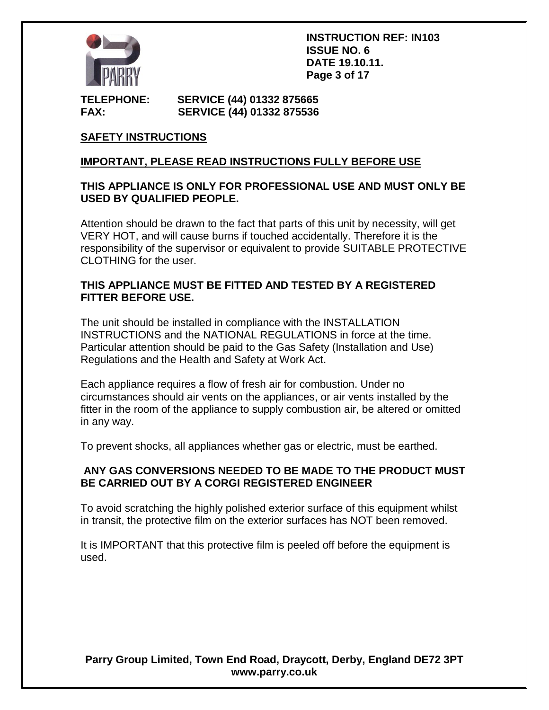

**INSTRUCTION REF: IN103 ISSUE NO. 6 DATE 19.10.11. Page 3 of 17**

**TELEPHONE: SERVICE (44) 01332 875665 FAX: SERVICE (44) 01332 875536**

# **SAFETY INSTRUCTIONS**

## **IMPORTANT, PLEASE READ INSTRUCTIONS FULLY BEFORE USE**

## **THIS APPLIANCE IS ONLY FOR PROFESSIONAL USE AND MUST ONLY BE USED BY QUALIFIED PEOPLE.**

Attention should be drawn to the fact that parts of this unit by necessity, will get VERY HOT, and will cause burns if touched accidentally. Therefore it is the responsibility of the supervisor or equivalent to provide SUITABLE PROTECTIVE CLOTHING for the user.

## **THIS APPLIANCE MUST BE FITTED AND TESTED BY A REGISTERED FITTER BEFORE USE.**

The unit should be installed in compliance with the INSTALLATION INSTRUCTIONS and the NATIONAL REGULATIONS in force at the time. Particular attention should be paid to the Gas Safety (Installation and Use) Regulations and the Health and Safety at Work Act.

Each appliance requires a flow of fresh air for combustion. Under no circumstances should air vents on the appliances, or air vents installed by the fitter in the room of the appliance to supply combustion air, be altered or omitted in any way.

To prevent shocks, all appliances whether gas or electric, must be earthed.

## **ANY GAS CONVERSIONS NEEDED TO BE MADE TO THE PRODUCT MUST BE CARRIED OUT BY A CORGI REGISTERED ENGINEER**

To avoid scratching the highly polished exterior surface of this equipment whilst in transit, the protective film on the exterior surfaces has NOT been removed.

It is IMPORTANT that this protective film is peeled off before the equipment is used.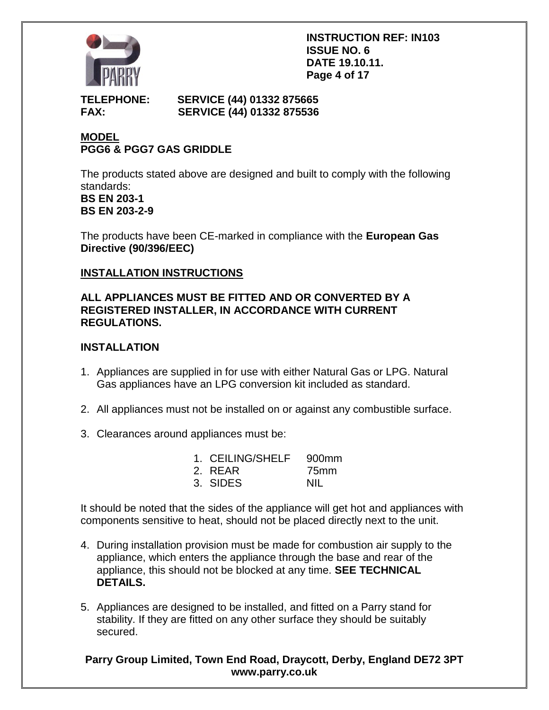

**INSTRUCTION REF: IN103 ISSUE NO. 6 DATE 19.10.11. Page 4 of 17**

## **TELEPHONE: SERVICE (44) 01332 875665 FAX: SERVICE (44) 01332 875536**

# **MODEL PGG6 & PGG7 GAS GRIDDLE**

The products stated above are designed and built to comply with the following standards: **BS EN 203-1 BS EN 203-2-9**

The products have been CE-marked in compliance with the **European Gas Directive (90/396/EEC)**

# **INSTALLATION INSTRUCTIONS**

## **ALL APPLIANCES MUST BE FITTED AND OR CONVERTED BY A REGISTERED INSTALLER, IN ACCORDANCE WITH CURRENT REGULATIONS.**

# **INSTALLATION**

- 1. Appliances are supplied in for use with either Natural Gas or LPG. Natural Gas appliances have an LPG conversion kit included as standard.
- 2. All appliances must not be installed on or against any combustible surface.
- 3. Clearances around appliances must be:

| 1. CEILING/SHELF | .900mm |
|------------------|--------|
| 2. REAR          | 75mm   |
| 3. SIDES         | NII.   |

It should be noted that the sides of the appliance will get hot and appliances with components sensitive to heat, should not be placed directly next to the unit.

- 4. During installation provision must be made for combustion air supply to the appliance, which enters the appliance through the base and rear of the appliance, this should not be blocked at any time. **SEE TECHNICAL DETAILS.**
- 5. Appliances are designed to be installed, and fitted on a Parry stand for stability. If they are fitted on any other surface they should be suitably secured.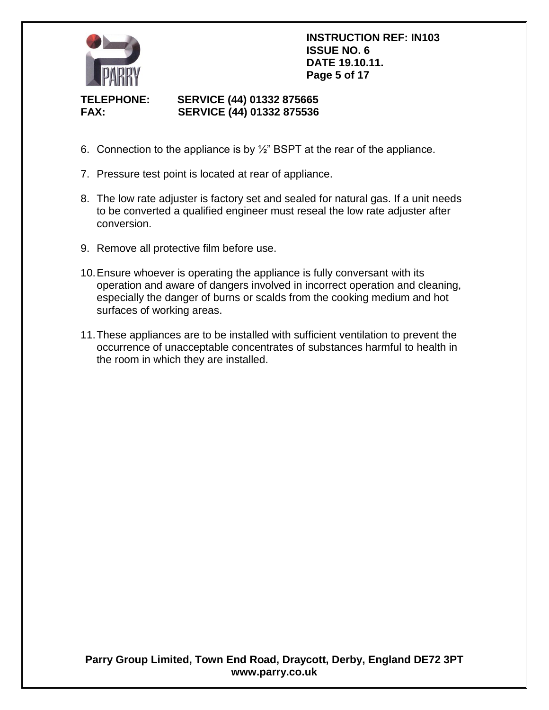

**INSTRUCTION REF: IN103 ISSUE NO. 6 DATE 19.10.11. Page 5 of 17**

# **TELEPHONE: SERVICE (44) 01332 875665 FAX: SERVICE (44) 01332 875536**

- 6. Connection to the appliance is by  $\frac{1}{2}$ " BSPT at the rear of the appliance.
- 7. Pressure test point is located at rear of appliance.
- 8. The low rate adjuster is factory set and sealed for natural gas. If a unit needs to be converted a qualified engineer must reseal the low rate adjuster after conversion.
- 9. Remove all protective film before use.
- 10.Ensure whoever is operating the appliance is fully conversant with its operation and aware of dangers involved in incorrect operation and cleaning, especially the danger of burns or scalds from the cooking medium and hot surfaces of working areas.
- 11.These appliances are to be installed with sufficient ventilation to prevent the occurrence of unacceptable concentrates of substances harmful to health in the room in which they are installed.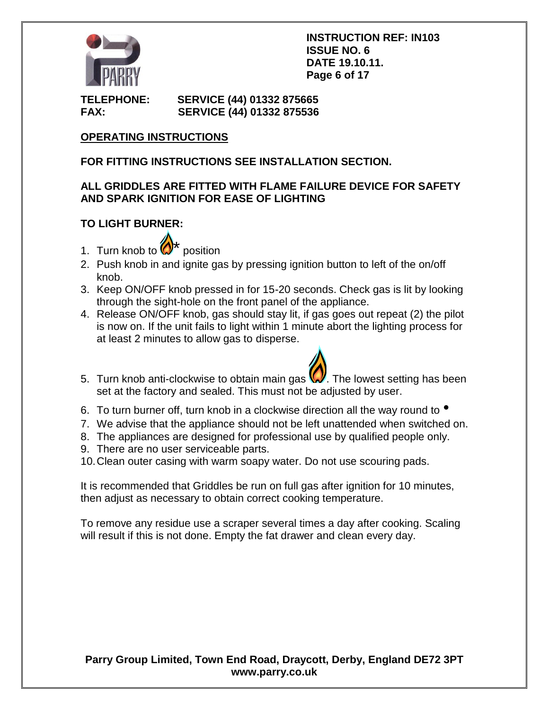

**INSTRUCTION REF: IN103 ISSUE NO. 6 DATE 19.10.11. Page 6 of 17**

**TELEPHONE: SERVICE (44) 01332 875665 FAX: SERVICE (44) 01332 875536**

# **OPERATING INSTRUCTIONS**

# **FOR FITTING INSTRUCTIONS SEE INSTALLATION SECTION.**

## **ALL GRIDDLES ARE FITTED WITH FLAME FAILURE DEVICE FOR SAFETY AND SPARK IGNITION FOR EASE OF LIGHTING**

# **TO LIGHT BURNER:**

- 1. Turn knob to  $\bigotimes^{\mathbf{+}}$  position
- 2. Push knob in and ignite gas by pressing ignition button to left of the on/off knob.
- 3. Keep ON/OFF knob pressed in for 15-20 seconds. Check gas is lit by looking through the sight-hole on the front panel of the appliance.
- 4. Release ON/OFF knob, gas should stay lit, if gas goes out repeat (2) the pilot is now on. If the unit fails to light within 1 minute abort the lighting process for at least 2 minutes to allow gas to disperse.
- 5. Turn knob anti-clockwise to obtain main gas  $\mathbb{W}$ . The lowest setting has been set at the factory and sealed. This must not be adjusted by user.
- 6. To turn burner off, turn knob in a clockwise direction all the way round to  $\bullet$
- 7. We advise that the appliance should not be left unattended when switched on.
- 8. The appliances are designed for professional use by qualified people only.
- 9. There are no user serviceable parts.
- 10.Clean outer casing with warm soapy water. Do not use scouring pads.

It is recommended that Griddles be run on full gas after ignition for 10 minutes, then adjust as necessary to obtain correct cooking temperature.

To remove any residue use a scraper several times a day after cooking. Scaling will result if this is not done. Empty the fat drawer and clean every day.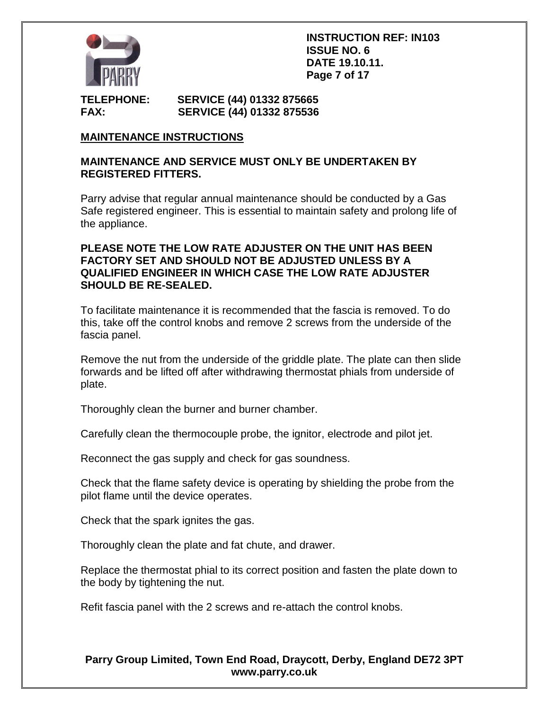

**INSTRUCTION REF: IN103 ISSUE NO. 6 DATE 19.10.11. Page 7 of 17**

**TELEPHONE: SERVICE (44) 01332 875665 FAX: SERVICE (44) 01332 875536**

# **MAINTENANCE INSTRUCTIONS**

#### **MAINTENANCE AND SERVICE MUST ONLY BE UNDERTAKEN BY REGISTERED FITTERS.**

Parry advise that regular annual maintenance should be conducted by a Gas Safe registered engineer. This is essential to maintain safety and prolong life of the appliance.

## **PLEASE NOTE THE LOW RATE ADJUSTER ON THE UNIT HAS BEEN FACTORY SET AND SHOULD NOT BE ADJUSTED UNLESS BY A QUALIFIED ENGINEER IN WHICH CASE THE LOW RATE ADJUSTER SHOULD BE RE-SEALED.**

To facilitate maintenance it is recommended that the fascia is removed. To do this, take off the control knobs and remove 2 screws from the underside of the fascia panel.

Remove the nut from the underside of the griddle plate. The plate can then slide forwards and be lifted off after withdrawing thermostat phials from underside of plate.

Thoroughly clean the burner and burner chamber.

Carefully clean the thermocouple probe, the ignitor, electrode and pilot jet.

Reconnect the gas supply and check for gas soundness.

Check that the flame safety device is operating by shielding the probe from the pilot flame until the device operates.

Check that the spark ignites the gas.

Thoroughly clean the plate and fat chute, and drawer.

Replace the thermostat phial to its correct position and fasten the plate down to the body by tightening the nut.

Refit fascia panel with the 2 screws and re-attach the control knobs.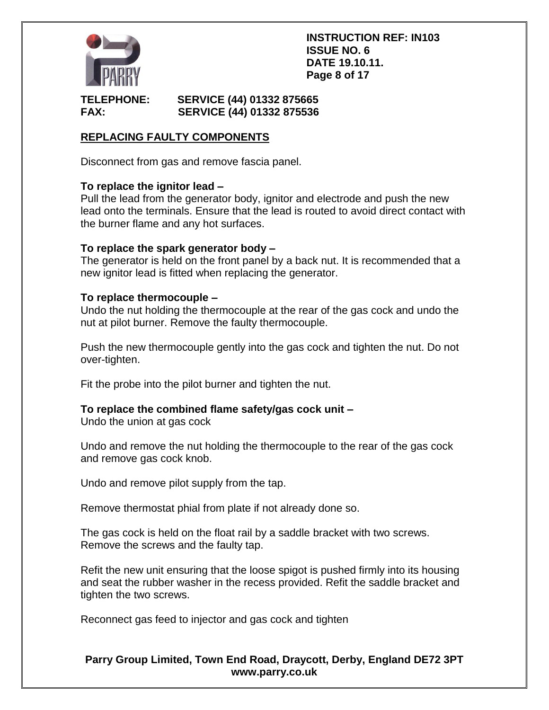

**INSTRUCTION REF: IN103 ISSUE NO. 6 DATE 19.10.11. Page 8 of 17**

## **TELEPHONE: SERVICE (44) 01332 875665 FAX: SERVICE (44) 01332 875536**

# **REPLACING FAULTY COMPONENTS**

Disconnect from gas and remove fascia panel.

## **To replace the ignitor lead –**

Pull the lead from the generator body, ignitor and electrode and push the new lead onto the terminals. Ensure that the lead is routed to avoid direct contact with the burner flame and any hot surfaces.

## **To replace the spark generator body –**

The generator is held on the front panel by a back nut. It is recommended that a new ignitor lead is fitted when replacing the generator.

#### **To replace thermocouple –**

Undo the nut holding the thermocouple at the rear of the gas cock and undo the nut at pilot burner. Remove the faulty thermocouple.

Push the new thermocouple gently into the gas cock and tighten the nut. Do not over-tighten.

Fit the probe into the pilot burner and tighten the nut.

# **To replace the combined flame safety/gas cock unit –**

Undo the union at gas cock

Undo and remove the nut holding the thermocouple to the rear of the gas cock and remove gas cock knob.

Undo and remove pilot supply from the tap.

Remove thermostat phial from plate if not already done so.

The gas cock is held on the float rail by a saddle bracket with two screws. Remove the screws and the faulty tap.

Refit the new unit ensuring that the loose spigot is pushed firmly into its housing and seat the rubber washer in the recess provided. Refit the saddle bracket and tighten the two screws.

Reconnect gas feed to injector and gas cock and tighten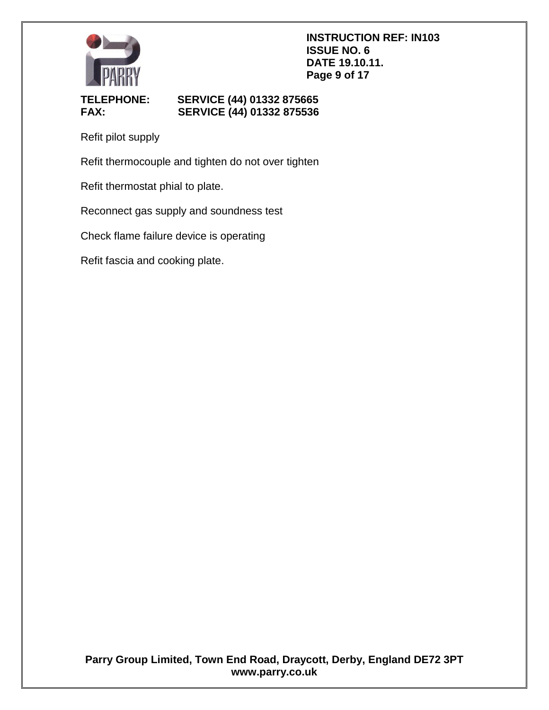

# **TELEPHONE: SERVICE (44) 01332 875665 FAX: SERVICE (44) 01332 875536**

Refit pilot supply

Refit thermocouple and tighten do not over tighten

Refit thermostat phial to plate.

Reconnect gas supply and soundness test

Check flame failure device is operating

Refit fascia and cooking plate.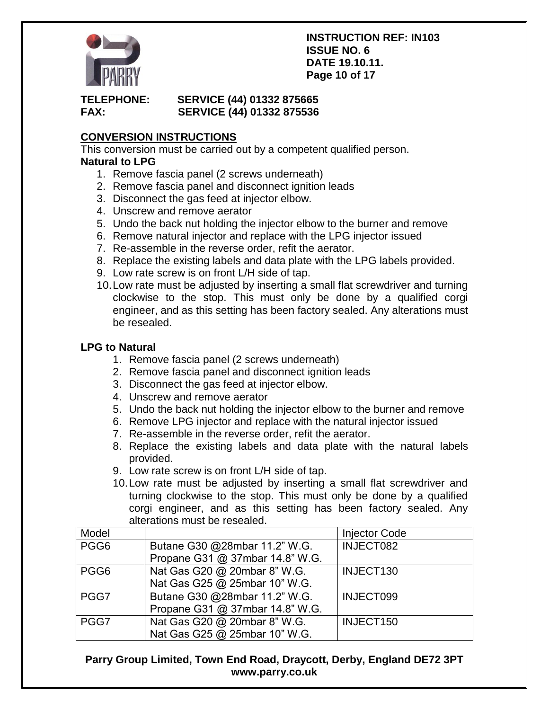

#### **INSTRUCTION REF: IN103 ISSUE NO. 6 DATE 19.10.11. Page 10 of 17**

# **TELEPHONE: SERVICE (44) 01332 875665 FAX: SERVICE (44) 01332 875536**

# **CONVERSION INSTRUCTIONS**

This conversion must be carried out by a competent qualified person. **Natural to LPG**

- 1. Remove fascia panel (2 screws underneath)
- 2. Remove fascia panel and disconnect ignition leads
- 3. Disconnect the gas feed at injector elbow.
- 4. Unscrew and remove aerator
- 5. Undo the back nut holding the injector elbow to the burner and remove
- 6. Remove natural injector and replace with the LPG injector issued
- 7. Re-assemble in the reverse order, refit the aerator.
- 8. Replace the existing labels and data plate with the LPG labels provided.
- 9. Low rate screw is on front L/H side of tap.
- 10.Low rate must be adjusted by inserting a small flat screwdriver and turning clockwise to the stop. This must only be done by a qualified corgi engineer, and as this setting has been factory sealed. Any alterations must be resealed.

# **LPG to Natural**

- 1. Remove fascia panel (2 screws underneath)
- 2. Remove fascia panel and disconnect ignition leads
- 3. Disconnect the gas feed at injector elbow.
- 4. Unscrew and remove aerator
- 5. Undo the back nut holding the injector elbow to the burner and remove
- 6. Remove LPG injector and replace with the natural injector issued
- 7. Re-assemble in the reverse order, refit the aerator.
- 8. Replace the existing labels and data plate with the natural labels provided.
- 9. Low rate screw is on front L/H side of tap.
- 10.Low rate must be adjusted by inserting a small flat screwdriver and turning clockwise to the stop. This must only be done by a qualified corgi engineer, and as this setting has been factory sealed. Any alterations must be resealed.

| Model            |                                 | <b>Injector Code</b> |
|------------------|---------------------------------|----------------------|
| PGG6             | Butane G30 @28mbar 11.2" W.G.   | INJECT082            |
|                  | Propane G31 @ 37mbar 14.8" W.G. |                      |
| PGG <sub>6</sub> | Nat Gas G20 @ 20mbar 8" W.G.    | INJECT130            |
|                  | Nat Gas G25 @ 25mbar 10" W.G.   |                      |
| PGG7             | Butane G30 @28mbar 11.2" W.G.   | INJECT099            |
|                  | Propane G31 @ 37mbar 14.8" W.G. |                      |
| PGG7             | Nat Gas G20 @ 20mbar 8" W.G.    | INJECT150            |
|                  | Nat Gas G25 @ 25mbar 10" W.G.   |                      |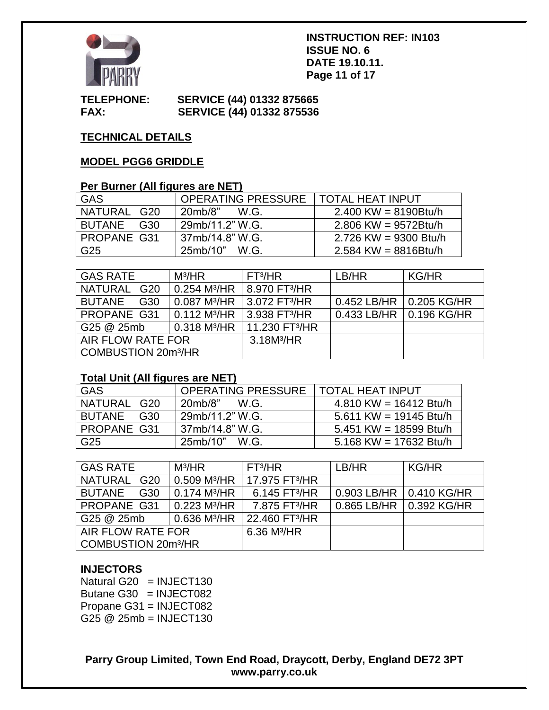

#### **INSTRUCTION REF: IN103 ISSUE NO. 6 DATE 19.10.11. Page 11 of 17**

#### **TELEPHONE: SERVICE (44) 01332 875665 FAX: SERVICE (44) 01332 875536**

# **TECHNICAL DETAILS**

## **MODEL PGG6 GRIDDLE**

#### **Per Burner (All figures are NET)**

| GAS                | OPERATING PRESSURE   TOTAL HEAT INPUT |                         |
|--------------------|---------------------------------------|-------------------------|
| NATURAL G20        | 20mb/8"<br>W.G.                       | $2.400$ KW = 8190Btu/h  |
| BUTANE G30         | 29mb/11.2" W.G.                       | $2.806$ KW = 9572Btu/h  |
| <b>PROPANE G31</b> | 37mb/14.8" W.G.                       | $2.726$ KW = 9300 Btu/h |
| G25                | 25mb/10" W.G.                         | $2.584$ KW = 8816Btu/h  |

| <b>GAS RATE</b>                 | $M^3/HR$                   | FT <sup>3</sup> /HR          | LB/HR                     | KG/HR |
|---------------------------------|----------------------------|------------------------------|---------------------------|-------|
| NATURAL G20                     | $0.254$ M <sup>3</sup> /HR | 8.970 FT <sup>3</sup> /HR    |                           |       |
| BUTANE G30                      | $0.087$ M <sup>3</sup> /HR | 3.072 FT <sup>3</sup> /HR    | 0.452 LB/HR   0.205 KG/HR |       |
| PROPANE G31                     | $0.112$ M <sup>3</sup> /HR | $13.938$ FT <sup>3</sup> /HR | 0.433 LB/HR   0.196 KG/HR |       |
| G25 @ 25mb                      | $0.318$ M <sup>3</sup> /HR | 11.230 FT <sup>3</sup> /HR   |                           |       |
| AIR FLOW RATE FOR               |                            | 3.18M <sup>3</sup> /HR       |                           |       |
| COMBUSTION 20m <sup>3</sup> /HR |                            |                              |                           |       |

#### **Total Unit (All figures are NET)**

| <b>GAS</b>    | OPERATING PRESSURE   TOTAL HEAT INPUT |                          |
|---------------|---------------------------------------|--------------------------|
| NATURAL G20   | $20mb/8$ "<br>WG.                     | 4.810 KW = $16412$ Btu/h |
| BUTANE<br>G30 | 29mb/11.2" W.G.                       | 5.611 KW = 19145 Btu/h   |
| PROPANE G31   | 37mb/14.8" W.G.                       | 5.451 KW = 18599 Btu/h   |
| G25           | 25mb/10" W.G.                         | 5.168 KW = 17632 Btu/h   |

| <b>GAS RATE</b>                 | $M^3/HR$                   | FT <sup>3</sup> /HR        | LB/HR       | <b>KG/HR</b>              |
|---------------------------------|----------------------------|----------------------------|-------------|---------------------------|
| NATURAL G20                     | $0.509$ M <sup>3</sup> /HR | 17.975 FT <sup>3</sup> /HR |             |                           |
| <b>BUTANE</b><br>G30            | 0.174 M <sup>3</sup> /HR   | 6.145 FT <sup>3</sup> /HR  | 0.903 LB/HR | 0.410 KG/HR               |
| PROPANE G31                     | $0.223$ M <sup>3</sup> /HR | 7.875 FT <sup>3</sup> /HR  |             | 0.865 LB/HR   0.392 KG/HR |
| G25 @ 25mb                      | $0.636$ M <sup>3</sup> /HR | 22.460 FT <sup>3</sup> /HR |             |                           |
| AIR FLOW RATE FOR               |                            | $6.36$ M <sup>3</sup> /HR  |             |                           |
| COMBUSTION 20m <sup>3</sup> /HR |                            |                            |             |                           |

# **INJECTORS**

Natural G20  $=$  INJECT130 Butane G30  $=$  INJECT082 Propane G31 = INJECT082 G25 @ 25mb = INJECT130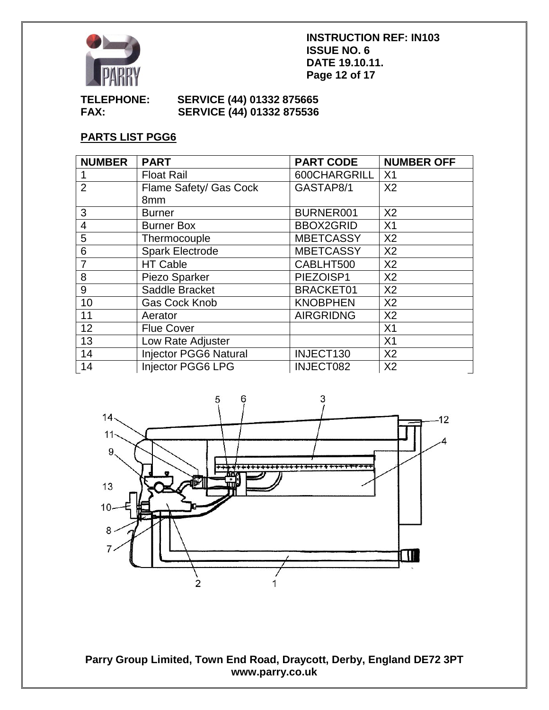

**INSTRUCTION REF: IN103 ISSUE NO. 6 DATE 19.10.11. Page 12 of 17**

## **TELEPHONE: SERVICE (44) 01332 875665 FAX: SERVICE (44) 01332 875536**

# **PARTS LIST PGG6**

| <b>NUMBER</b>  | <b>PART</b>                  | <b>PART CODE</b> | <b>NUMBER OFF</b> |
|----------------|------------------------------|------------------|-------------------|
|                | <b>Float Rail</b>            | 600CHARGRILL     | X1                |
| $\overline{2}$ | Flame Safety/ Gas Cock       | GASTAP8/1        | X <sub>2</sub>    |
|                | 8mm                          |                  |                   |
| 3              | <b>Burner</b>                | BURNER001        | X <sub>2</sub>    |
| $\overline{4}$ | <b>Burner Box</b>            | <b>BBOX2GRID</b> | X <sub>1</sub>    |
| 5              | Thermocouple                 | <b>MBETCASSY</b> | X <sub>2</sub>    |
| 6              | <b>Spark Electrode</b>       | <b>MBETCASSY</b> | X <sub>2</sub>    |
| $\overline{7}$ | <b>HT Cable</b>              | CABLHT500        | X <sub>2</sub>    |
| 8              | Piezo Sparker                | PIEZOISP1        | X <sub>2</sub>    |
| 9              | Saddle Bracket               | <b>BRACKET01</b> | X <sub>2</sub>    |
| 10             | <b>Gas Cock Knob</b>         | <b>KNOBPHEN</b>  | X <sub>2</sub>    |
| 11             | Aerator                      | <b>AIRGRIDNG</b> | X <sub>2</sub>    |
| 12             | <b>Flue Cover</b>            |                  | X <sub>1</sub>    |
| 13             | Low Rate Adjuster            |                  | X <sub>1</sub>    |
| 14             | <b>Injector PGG6 Natural</b> | INJECT130        | X <sub>2</sub>    |
| 14             | <b>Injector PGG6 LPG</b>     | INJECT082        | X <sub>2</sub>    |

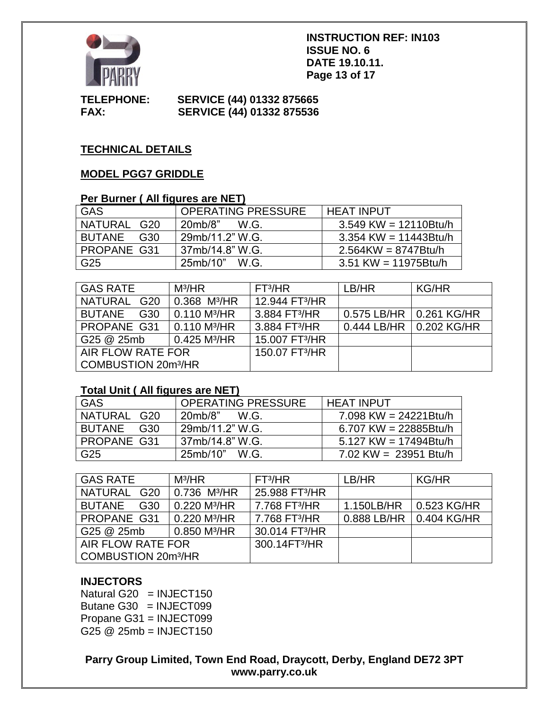

**INSTRUCTION REF: IN103 ISSUE NO. 6 DATE 19.10.11. Page 13 of 17**

**TELEPHONE: SERVICE (44) 01332 875665 FAX: SERVICE (44) 01332 875536**

# **TECHNICAL DETAILS**

## **MODEL PGG7 GRIDDLE**

# **Per Burner ( All figures are NET)**

| GAS                  | <b>OPERATING PRESSURE</b> | <b>HEAT INPUT</b>       |
|----------------------|---------------------------|-------------------------|
| NATURAL<br>G20       | 20mb/8"<br>W.G.           | $3.549$ KW = 12110Btu/h |
| <b>BUTANE</b><br>G30 | 29mb/11.2" W.G.           | $3.354$ KW = 11443Btu/h |
| PROPANE G31          | 37mb/14.8" W.G.           | $2.564$ KW = 8747Btu/h  |
| G25                  | 25mb/10" W.G.             | $3.51$ KW = 11975Btu/h  |

| <b>GAS RATE</b>                      | $M^3/HR$                   | FT <sup>3</sup> /HR        | LB/HR                     | <b>KG/HR</b> |
|--------------------------------------|----------------------------|----------------------------|---------------------------|--------------|
| NATURAL G20                          | $0.368$ M <sup>3</sup> /HR | 12.944 FT <sup>3</sup> /HR |                           |              |
| <b>BUTANE</b><br>G30                 | 0.110 M <sup>3</sup> /HR   | 3.884 FT <sup>3</sup> /HR  | 0.575 LB/HR   0.261 KG/HR |              |
| PROPANE G31                          | 0.110 M <sup>3</sup> /HR   | 3.884 FT <sup>3</sup> /HR  | 0.444 LB/HR   0.202 KG/HR |              |
| G25 @ 25mb                           | 0.425 M <sup>3</sup> /HR   | 15,007 FT <sup>3</sup> /HR |                           |              |
| AIR FLOW RATE FOR                    |                            | 150.07 FT <sup>3</sup> /HR |                           |              |
| <b>COMBUSTION 20m<sup>3</sup>/HR</b> |                            |                            |                           |              |

#### **Total Unit ( All figures are NET)**

| <b>GAS</b>    | <b>OPERATING PRESSURE</b> | <b>HEAT INPUT</b>        |
|---------------|---------------------------|--------------------------|
| NATURAL G20   | 20mb/8"<br>W.G.           | 7.098 KW = $24221$ Btu/h |
| BUTANE<br>G30 | 29mb/11.2" W.G.           | 6.707 KW = $22885Btu/h$  |
| PROPANE G31   | 37mb/14.8" W.G.           | 5.127 KW = $17494Btu/h$  |
| G25           | 25mb/10" W.G.             | $7.02$ KW = 23951 Btu/h  |

| <b>GAS RATE</b>                      | $M^3/HR$                    | FT <sup>3</sup> /HR        | LB/HR       | <b>KG/HR</b> |
|--------------------------------------|-----------------------------|----------------------------|-------------|--------------|
| NATURAL G20                          | $0.736$ M <sup>3</sup> /HR  | 25.988 FT <sup>3</sup> /HR |             |              |
| <b>BUTANE</b><br>G30                 | $0.220$ M <sup>3</sup> /HR  | 7.768 FT <sup>3</sup> /HR  | 1.150LB/HR  | 0.523 KG/HR  |
| PROPANE G31                          | 0.220 M <sup>3</sup> /HR    | 7.768 FT <sup>3</sup> /HR  | 0.888 LB/HR | 0.404 KG/HR  |
| G25 @ 25mb                           | $10.850$ M <sup>3</sup> /HR | 30.014 FT <sup>3</sup> /HR |             |              |
| AIR FLOW RATE FOR                    |                             | 300.14FT3/HR               |             |              |
| <b>COMBUSTION 20m<sup>3</sup>/HR</b> |                             |                            |             |              |

# **INJECTORS**

Natural G20  $=$  INJECT150 Butane G30 = INJECT099 Propane G31 = INJECT099 G25 @ 25mb = INJECT150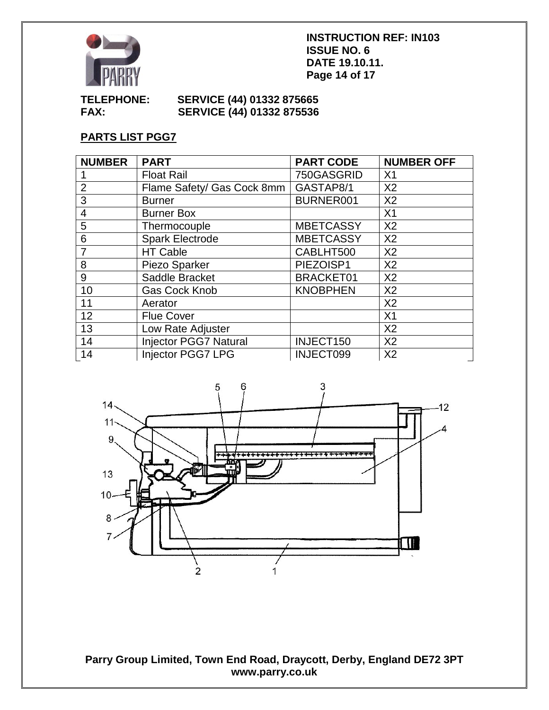

**INSTRUCTION REF: IN103 ISSUE NO. 6 DATE 19.10.11. Page 14 of 17**

## **TELEPHONE: SERVICE (44) 01332 875665 SERVICE (44) 01332 875536**

# **PARTS LIST PGG7**

| <b>NUMBER</b>  | <b>PART</b>                  | <b>PART CODE</b> | <b>NUMBER OFF</b> |
|----------------|------------------------------|------------------|-------------------|
|                | <b>Float Rail</b>            | 750GASGRID       | X <sub>1</sub>    |
| $\overline{2}$ | Flame Safety/ Gas Cock 8mm   | GASTAP8/1        | X <sub>2</sub>    |
| 3              | <b>Burner</b>                | BURNER001        | X <sub>2</sub>    |
| $\overline{4}$ | <b>Burner Box</b>            |                  | X <sub>1</sub>    |
| 5              | Thermocouple                 | <b>MBETCASSY</b> | X <sub>2</sub>    |
| 6              | <b>Spark Electrode</b>       | <b>MBETCASSY</b> | X <sub>2</sub>    |
| 7              | <b>HT Cable</b>              | CABLHT500        | X <sub>2</sub>    |
| 8              | Piezo Sparker                | PIEZOISP1        | X <sub>2</sub>    |
| 9              | Saddle Bracket               | <b>BRACKET01</b> | X <sub>2</sub>    |
| 10             | <b>Gas Cock Knob</b>         | <b>KNOBPHEN</b>  | X <sub>2</sub>    |
| 11             | Aerator                      |                  | X <sub>2</sub>    |
| 12             | <b>Flue Cover</b>            |                  | X <sub>1</sub>    |
| 13             | Low Rate Adjuster            |                  | X <sub>2</sub>    |
| 14             | <b>Injector PGG7 Natural</b> | INJECT150        | X <sub>2</sub>    |
| 14             | <b>Injector PGG7 LPG</b>     | INJECT099        | X <sub>2</sub>    |

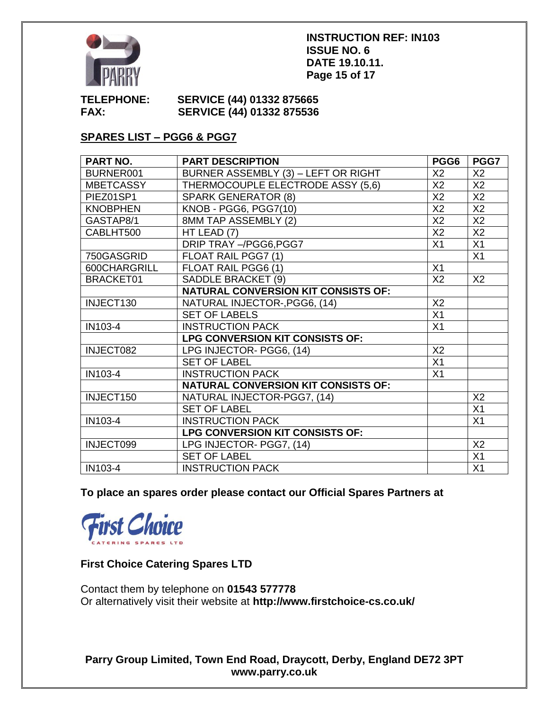

#### **INSTRUCTION REF: IN103 ISSUE NO. 6 DATE 19.10.11. Page 15 of 17**

## **TELEPHONE: SERVICE (44) 01332 875665 FAX: SERVICE (44) 01332 875536**

# **SPARES LIST – PGG6 & PGG7**

| PART NO.         | <b>PART DESCRIPTION</b>                    | PGG6            | PGG7            |
|------------------|--------------------------------------------|-----------------|-----------------|
| BURNER001        | BURNER ASSEMBLY (3) - LEFT OR RIGHT        | X <sub>2</sub>  | X <sub>2</sub>  |
| <b>MBETCASSY</b> | THERMOCOUPLE ELECTRODE ASSY (5,6)          | X2              | X2              |
| PIEZ01SP1        | <b>SPARK GENERATOR (8)</b>                 | X2              | X2              |
| <b>KNOBPHEN</b>  | KNOB - PGG6, PGG7(10)                      | X2              | X2              |
| GASTAP8/1        | 8MM TAP ASSEMBLY (2)                       | X2              | X <sub>2</sub>  |
| CABLHT500        | HT LEAD (7)                                | X2              | X2              |
|                  | DRIP TRAY -/PGG6, PGG7                     | X1              | X1              |
| 750GASGRID       | FLOAT RAIL PGG7 (1)                        |                 | X <sub>1</sub>  |
| 600CHARGRILL     | FLOAT RAIL PGG6 (1)                        | X1              |                 |
| <b>BRACKET01</b> | SADDLE BRACKET (9)                         | X2              | X2              |
|                  | <b>NATURAL CONVERSION KIT CONSISTS OF:</b> |                 |                 |
| INJECT130        | NATURAL INJECTOR-, PGG6, (14)              | X2              |                 |
|                  | <b>SET OF LABELS</b>                       | X1              |                 |
| IN103-4          | <b>INSTRUCTION PACK</b>                    | X1              |                 |
|                  | LPG CONVERSION KIT CONSISTS OF:            |                 |                 |
| INJECT082        | LPG INJECTOR- PGG6, (14)                   | X2              |                 |
|                  | <b>SET OF LABEL</b>                        | $\overline{X1}$ |                 |
| IN103-4          | <b>INSTRUCTION PACK</b>                    | X1              |                 |
|                  | <b>NATURAL CONVERSION KIT CONSISTS OF:</b> |                 |                 |
| INJECT150        | NATURAL INJECTOR-PGG7, (14)                |                 | X <sub>2</sub>  |
|                  | <b>SET OF LABEL</b>                        |                 | X1              |
| IN103-4          | <b>INSTRUCTION PACK</b>                    |                 | X1              |
|                  | LPG CONVERSION KIT CONSISTS OF:            |                 |                 |
| INJECT099        | LPG INJECTOR- PGG7, (14)                   |                 | X <sub>2</sub>  |
|                  | <b>SET OF LABEL</b>                        |                 | $\overline{X1}$ |
| IN103-4          | <b>INSTRUCTION PACK</b>                    |                 | X1              |

**To place an spares order please contact our Official Spares Partners at** 



# **First Choice Catering Spares LTD**

Contact them by telephone on **01543 577778** Or alternatively visit their website at **http://www.firstchoice-cs.co.uk/**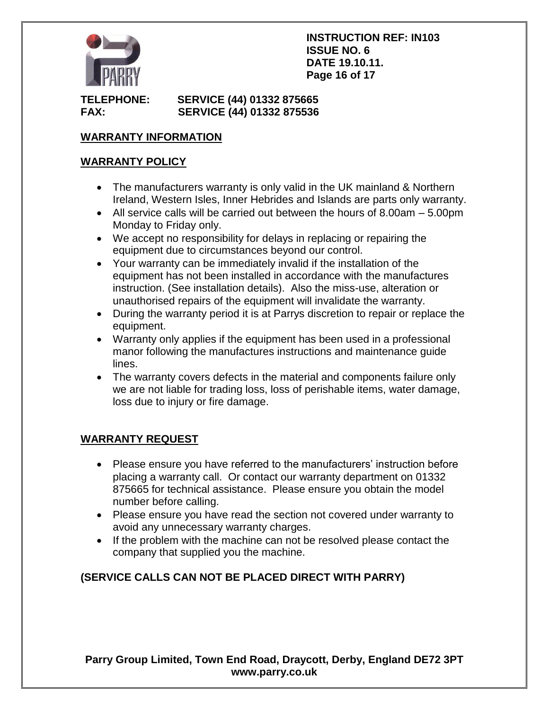

**INSTRUCTION REF: IN103 ISSUE NO. 6 DATE 19.10.11. Page 16 of 17**

# **TELEPHONE: SERVICE (44) 01332 875665 FAX: SERVICE (44) 01332 875536**

# **WARRANTY INFORMATION**

## **WARRANTY POLICY**

- The manufacturers warranty is only valid in the UK mainland & Northern Ireland, Western Isles, Inner Hebrides and Islands are parts only warranty.
- $\bullet$  All service calls will be carried out between the hours of 8.00am  $-5.00$ pm Monday to Friday only.
- We accept no responsibility for delays in replacing or repairing the equipment due to circumstances beyond our control.
- Your warranty can be immediately invalid if the installation of the equipment has not been installed in accordance with the manufactures instruction. (See installation details). Also the miss-use, alteration or unauthorised repairs of the equipment will invalidate the warranty.
- During the warranty period it is at Parrys discretion to repair or replace the equipment.
- Warranty only applies if the equipment has been used in a professional manor following the manufactures instructions and maintenance guide lines.
- The warranty covers defects in the material and components failure only we are not liable for trading loss, loss of perishable items, water damage, loss due to injury or fire damage.

# **WARRANTY REQUEST**

- Please ensure you have referred to the manufacturers' instruction before placing a warranty call. Or contact our warranty department on 01332 875665 for technical assistance. Please ensure you obtain the model number before calling.
- Please ensure you have read the section not covered under warranty to avoid any unnecessary warranty charges.
- If the problem with the machine can not be resolved please contact the company that supplied you the machine.

# **(SERVICE CALLS CAN NOT BE PLACED DIRECT WITH PARRY)**